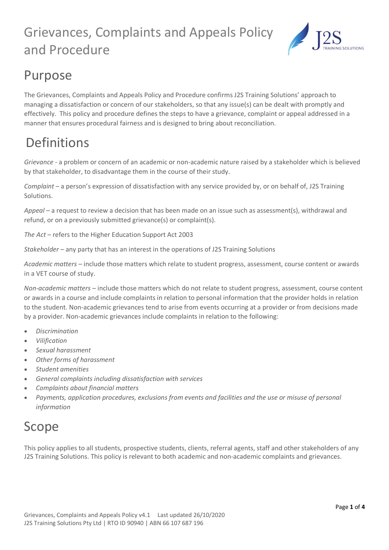

## Purpose

The Grievances, Complaints and Appeals Policy and Procedure confirms J2S Training Solutions' approach to managing a dissatisfaction or concern of our stakeholders, so that any issue(s) can be dealt with promptly and effectively. This policy and procedure defines the steps to have a grievance, complaint or appeal addressed in a manner that ensures procedural fairness and is designed to bring about reconciliation.

# Definitions

*Grievance -* a problem or concern of an academic or non-academic nature raised by a stakeholder which is believed by that stakeholder, to disadvantage them in the course of their study.

*Complaint* – a person's expression of dissatisfaction with any service provided by, or on behalf of, J2S Training Solutions.

*Appeal* – a request to review a decision that has been made on an issue such as assessment(s), withdrawal and refund, or on a previously submitted grievance(s) or complaint(s).

*The Act* – refers to the Higher Education Support Act 2003

*Stakeholder –* any party that has an interest in the operations of J2S Training Solutions

*Academic matters –* include those matters which relate to student progress, assessment, course content or awards in a VET course of study.

*Non-academic matters –* include those matters which do not relate to student progress, assessment, course content or awards in a course and include complaints in relation to personal information that the provider holds in relation to the student. Non-academic grievances tend to arise from events occurring at a provider or from decisions made by a provider. Non-academic grievances include complaints in relation to the following:

- *Discrimination*
- *Vilification*
- *Sexual harassment*
- *Other forms of harassment*
- *Student amenities*
- *General complaints including dissatisfaction with services*
- *Complaints about financial matters*
- *Payments, application procedures, exclusions from events and facilities and the use or misuse of personal information*

### Scope

This policy applies to all students, prospective students, clients, referral agents, staff and other stakeholders of any J2S Training Solutions. This policy is relevant to both academic and non-academic complaints and grievances.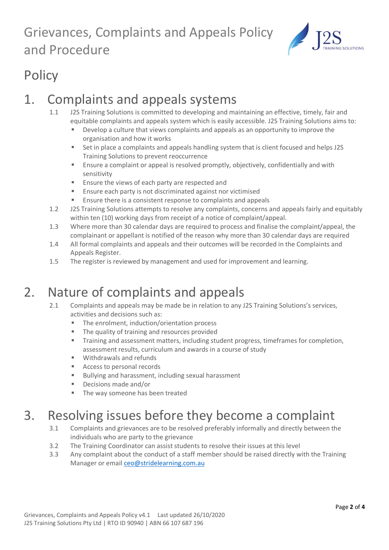

# **Policy**

## 1. Complaints and appeals systems

- 1.1 J2S Training Solutions is committed to developing and maintaining an effective, timely, fair and equitable complaints and appeals system which is easily accessible. J2S Training Solutions aims to:
	- **Develop a culture that views complaints and appeals as an opportunity to improve the** organisation and how it works
	- Set in place a complaints and appeals handling system that is client focused and helps J2S Training Solutions to prevent reoccurrence
	- Ensure a complaint or appeal is resolved promptly, objectively, confidentially and with sensitivity
	- **Ensure the views of each party are respected and**
	- **Ensure each party is not discriminated against nor victimised**
	- Ensure there is a consistent response to complaints and appeals
- 1.2 J2S Training Solutions attempts to resolve any complaints, concerns and appeals fairly and equitably within ten (10) working days from receipt of a notice of complaint/appeal.
- 1.3 Where more than 30 calendar days are required to process and finalise the complaint/appeal, the complainant or appellant is notified of the reason why more than 30 calendar days are required
- 1.4 All formal complaints and appeals and their outcomes will be recorded in the Complaints and Appeals Register.
- 1.5 The register is reviewed by management and used for improvement and learning.

### 2. Nature of complaints and appeals

- 2.1 Complaints and appeals may be made be in relation to any J2S Training Solutions's services, activities and decisions such as:
	- The enrolment, induction/orientation process
	- **The quality of training and resources provided**
	- **Training and assessment matters, including student progress, timeframes for completion,** assessment results, curriculum and awards in a course of study
	- Withdrawals and refunds
	- Access to personal records
	- Bullying and harassment, including sexual harassment
	- Decisions made and/or
	- The way someone has been treated

## 3. Resolving issues before they become a complaint

- 3.1 Complaints and grievances are to be resolved preferably informally and directly between the individuals who are party to the grievance
- 3.2 The Training Coordinator can assist students to resolve their issues at this level
- 3.3 Any complaint about the conduct of a staff member should be raised directly with the Training Manager or emai[l ceo@stridelearning.com.au](mailto:ceo@stridelearning.com.au)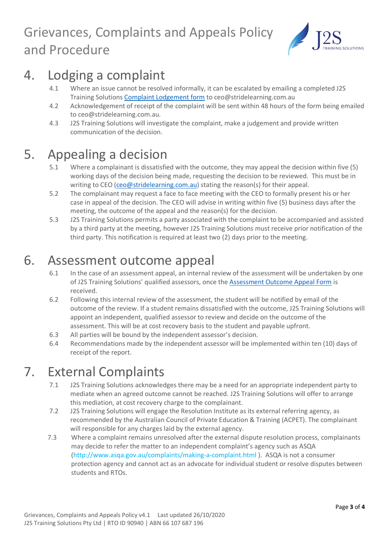

## 4. Lodging a complaint

- 4.1 Where an issue cannot be resolved informally, it can be escalated by emailing a completed J2S Training Solutions [Complaint Lodgement form](https://2cc4e78e-c485-4b1f-928d-3e093e7325a2.filesusr.com/ugd/1cc392_679f6be064ed49eb98eaa0d4e0d4ba56.pdf) to [ceo@stridelearning.com.au](mailto:enquries@stridelearning.com.au)
- 4.2 Acknowledgement of receipt of the complaint will be sent within 48 hours of the form being emailed to ceo@stridelearning.com.au.
- 4.3 J2S Training Solutions will investigate the complaint, make a judgement and provide written communication of the decision.

### 5. Appealing a decision

- 5.1 Where a complainant is dissatisfied with the outcome, they may appeal the decision within five (5) working days of the decision being made, requesting the decision to be reviewed. This must be in writing to CEO [\(ceo@stridelearning.com.au\)](mailto:ceo@stridelearning.com.au) stating the reason(s) for their appeal.
- 5.2 The complainant may request a face to face meeting with the CEO to formally present his or her case in appeal of the decision. The CEO will advise in writing within five (5) business days after the meeting, the outcome of the appeal and the reason(s) for the decision.
- 5.3 J2S Training Solutions permits a party associated with the complaint to be accompanied and assisted by a third party at the meeting, however J2S Training Solutions must receive prior notification of the third party. This notification is required at least two (2) days prior to the meeting.

#### 6. Assessment outcome appeal

- 6.1 In the case of an assessment appeal, an internal review of the assessment will be undertaken by one of J2S Training Solutions' qualified assessors, once the [Assessment Outcome Appeal Form](https://2cc4e78e-c485-4b1f-928d-3e093e7325a2.filesusr.com/ugd/1cc392_edc300a73db74f1a91a1cb47799f38b9.pdf) is received.
- 6.2 Following this internal review of the assessment, the student will be notified by email of the outcome of the review. If a student remains dissatisfied with the outcome, J2S Training Solutions will appoint an independent, qualified assessor to review and decide on the outcome of the assessment. This will be at cost recovery basis to the student and payable upfront.
- 6.3 All parties will be bound by the independent assessor's decision.
- 6.4 Recommendations made by the independent assessor will be implemented within ten (10) days of receipt of the report.

### 7. External Complaints

- 7.1 J2S Training Solutions acknowledges there may be a need for an appropriate independent party to mediate when an agreed outcome cannot be reached. J2S Training Solutions will offer to arrange this mediation, at cost recovery charge to the complainant.
- 7.2 J2S Training Solutions will engage the Resolution Institute as its external referring agency, as recommended by the Australian Council of Private Education & Training (ACPET). The complainant will responsible for any charges laid by the external agency.
- 7.3 Where a complaint remains unresolved after the external dispute resolution process, complainants may decide to refer the matter to an independent complaint's agency such as ASQA [\(http://www.asqa.gov.au/complaints/making-a-complaint.html](http://www.asqa.gov.au/complaints/making-a-complaint.html) ). ASQA is not a consumer protection agency and cannot act as an advocate for individual student or resolve disputes between students and RTOs.